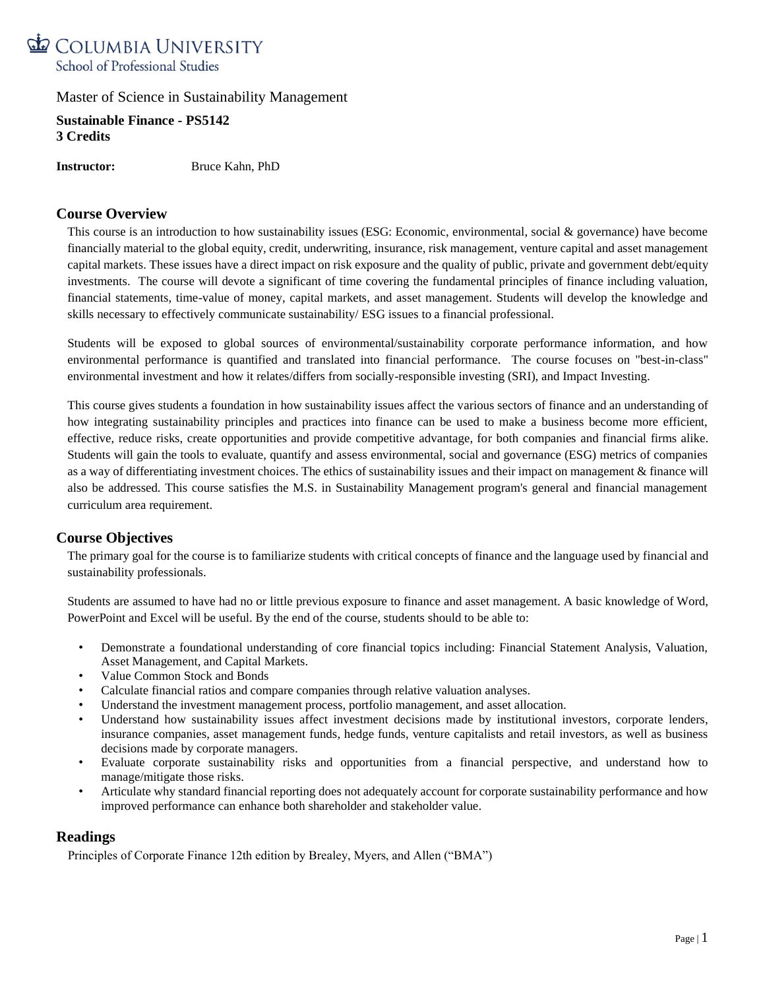

**Sustainable Finance - PS5142 3 Credits**

**Instructor:** Bruce Kahn, PhD

# **Course Overview**

This course is an introduction to how sustainability issues (ESG: Economic, environmental, social & governance) have become financially material to the global equity, credit, underwriting, insurance, risk management, venture capital and asset management capital markets. These issues have a direct impact on risk exposure and the quality of public, private and government debt/equity investments. The course will devote a significant of time covering the fundamental principles of finance including valuation, financial statements, time-value of money, capital markets, and asset management. Students will develop the knowledge and skills necessary to effectively communicate sustainability/ ESG issues to a financial professional.

Students will be exposed to global sources of environmental/sustainability corporate performance information, and how environmental performance is quantified and translated into financial performance. The course focuses on "best-in-class" environmental investment and how it relates/differs from socially-responsible investing (SRI), and Impact Investing.

This course gives students a foundation in how sustainability issues affect the various sectors of finance and an understanding of how integrating sustainability principles and practices into finance can be used to make a business become more efficient, effective, reduce risks, create opportunities and provide competitive advantage, for both companies and financial firms alike. Students will gain the tools to evaluate, quantify and assess environmental, social and governance (ESG) metrics of companies as a way of differentiating investment choices. The ethics of sustainability issues and their impact on management & finance will also be addressed. This course satisfies the M.S. in Sustainability Management program's general and financial management curriculum area requirement.

# **Course Objectives**

The primary goal for the course is to familiarize students with critical concepts of finance and the language used by financial and sustainability professionals.

Students are assumed to have had no or little previous exposure to finance and asset management. A basic knowledge of Word, PowerPoint and Excel will be useful. By the end of the course, students should to be able to:

- Demonstrate a foundational understanding of core financial topics including: Financial Statement Analysis, Valuation, Asset Management, and Capital Markets.
- Value Common Stock and Bonds
- Calculate financial ratios and compare companies through relative valuation analyses.
- Understand the investment management process, portfolio management, and asset allocation.
- Understand how sustainability issues affect investment decisions made by institutional investors, corporate lenders, insurance companies, asset management funds, hedge funds, venture capitalists and retail investors, as well as business decisions made by corporate managers.
- Evaluate corporate sustainability risks and opportunities from a financial perspective, and understand how to manage/mitigate those risks.
- Articulate why standard financial reporting does not adequately account for corporate sustainability performance and how improved performance can enhance both shareholder and stakeholder value.

## **Readings**

Principles of Corporate Finance 12th edition by Brealey, Myers, and Allen ("BMA")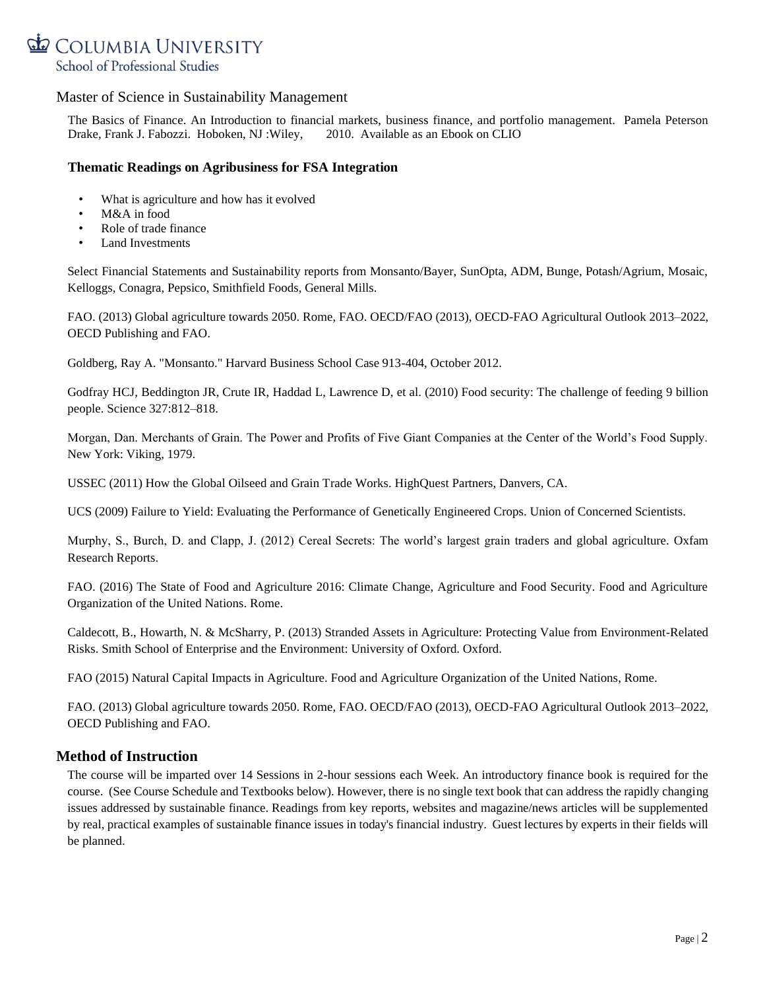

The Basics of Finance. An Introduction to financial markets, business finance, and portfolio management. Pamela Peterson Drake, Frank J. Fabozzi. Hoboken, NJ :Wiley, 2010. Available as an Ebook on CLIO

## **Thematic Readings on Agribusiness for FSA Integration**

- What is agriculture and how has it evolved
- M&A in food
- Role of trade finance
- Land Investments

Select Financial Statements and Sustainability reports from Monsanto/Bayer, SunOpta, ADM, Bunge, Potash/Agrium, Mosaic, Kelloggs, Conagra, Pepsico, Smithfield Foods, General Mills.

FAO. (2013) Global agriculture towards 2050. Rome, FAO. OECD/FAO (2013), OECD-FAO Agricultural Outlook 2013–2022, OECD Publishing and FAO.

Goldberg, Ray A. "Monsanto." Harvard Business School Case 913-404, October 2012.

Godfray HCJ, Beddington JR, Crute IR, Haddad L, Lawrence D, et al. (2010) Food security: The challenge of feeding 9 billion people. Science 327:812–818.

Morgan, Dan. Merchants of Grain. The Power and Profits of Five Giant Companies at the Center of the World's Food Supply. New York: Viking, 1979.

USSEC (2011) How the Global Oilseed and Grain Trade Works. HighQuest Partners, Danvers, CA.

UCS (2009) Failure to Yield: Evaluating the Performance of Genetically Engineered Crops. Union of Concerned Scientists.

Murphy, S., Burch, D. and Clapp, J. (2012) Cereal Secrets: The world's largest grain traders and global agriculture. Oxfam Research Reports.

FAO. (2016) The State of Food and Agriculture 2016: Climate Change, Agriculture and Food Security. Food and Agriculture Organization of the United Nations. Rome.

Caldecott, B., Howarth, N. & McSharry, P. (2013) Stranded Assets in Agriculture: Protecting Value from Environment-Related Risks. Smith School of Enterprise and the Environment: University of Oxford. Oxford.

FAO (2015) Natural Capital Impacts in Agriculture. Food and Agriculture Organization of the United Nations, Rome.

FAO. (2013) Global agriculture towards 2050. Rome, FAO. OECD/FAO (2013), OECD-FAO Agricultural Outlook 2013–2022, OECD Publishing and FAO.

# **Method of Instruction**

The course will be imparted over 14 Sessions in 2-hour sessions each Week. An introductory finance book is required for the course. (See Course Schedule and Textbooks below). However, there is no single text book that can address the rapidly changing issues addressed by sustainable finance. Readings from key reports, websites and magazine/news articles will be supplemented by real, practical examples of sustainable finance issues in today's financial industry. Guest lectures by experts in their fields will be planned.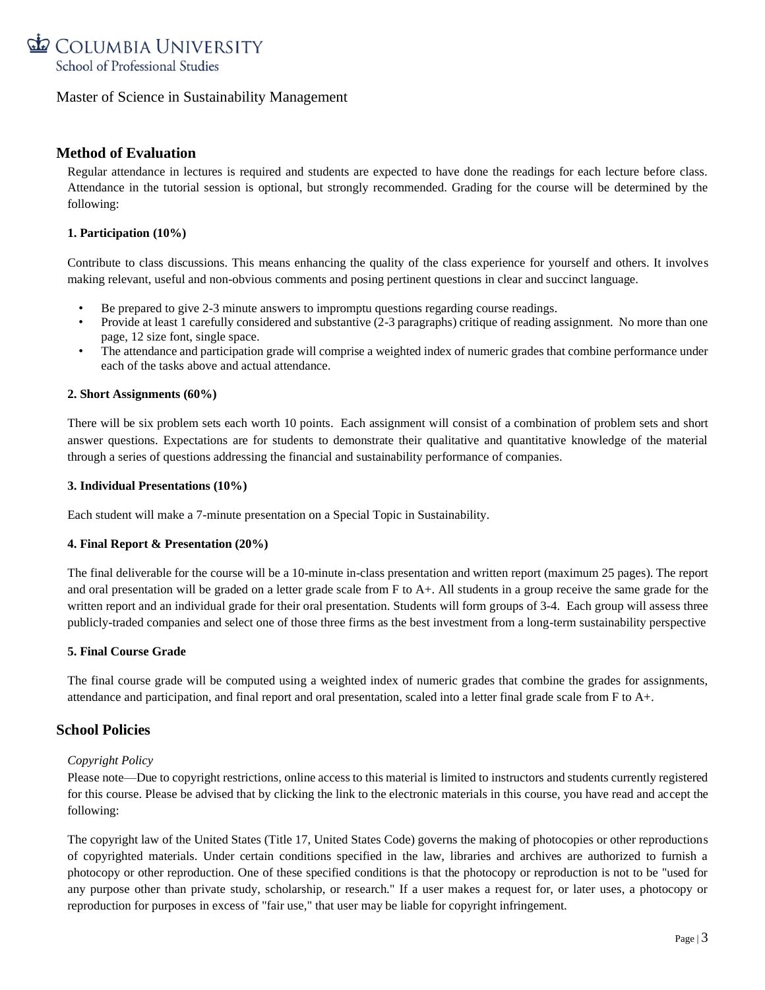

# **Method of Evaluation**

Regular attendance in lectures is required and students are expected to have done the readings for each lecture before class. Attendance in the tutorial session is optional, but strongly recommended. Grading for the course will be determined by the following:

## **1. Participation (10%)**

Contribute to class discussions. This means enhancing the quality of the class experience for yourself and others. It involves making relevant, useful and non-obvious comments and posing pertinent questions in clear and succinct language.

- Be prepared to give 2-3 minute answers to impromptu questions regarding course readings.
- Provide at least 1 carefully considered and substantive (2-3 paragraphs) critique of reading assignment. No more than one page, 12 size font, single space.
- The attendance and participation grade will comprise a weighted index of numeric grades that combine performance under each of the tasks above and actual attendance.

## **2. Short Assignments (60%)**

There will be six problem sets each worth 10 points. Each assignment will consist of a combination of problem sets and short answer questions. Expectations are for students to demonstrate their qualitative and quantitative knowledge of the material through a series of questions addressing the financial and sustainability performance of companies.

### **3. Individual Presentations (10%)**

Each student will make a 7-minute presentation on a Special Topic in Sustainability.

## **4. Final Report & Presentation (20%)**

The final deliverable for the course will be a 10-minute in-class presentation and written report (maximum 25 pages). The report and oral presentation will be graded on a letter grade scale from F to A+. All students in a group receive the same grade for the written report and an individual grade for their oral presentation. Students will form groups of 3-4. Each group will assess three publicly-traded companies and select one of those three firms as the best investment from a long-term sustainability perspective

## **5. Final Course Grade**

The final course grade will be computed using a weighted index of numeric grades that combine the grades for assignments, attendance and participation, and final report and oral presentation, scaled into a letter final grade scale from F to A+.

# **School Policies**

## *Copyright Policy*

Please note—Due to copyright restrictions, online access to this material is limited to instructors and students currently registered for this course. Please be advised that by clicking the link to the electronic materials in this course, you have read and accept the following:

The copyright law of the United States (Title 17, United States Code) governs the making of photocopies or other reproductions of copyrighted materials. Under certain conditions specified in the law, libraries and archives are authorized to furnish a photocopy or other reproduction. One of these specified conditions is that the photocopy or reproduction is not to be "used for any purpose other than private study, scholarship, or research." If a user makes a request for, or later uses, a photocopy or reproduction for purposes in excess of "fair use," that user may be liable for copyright infringement.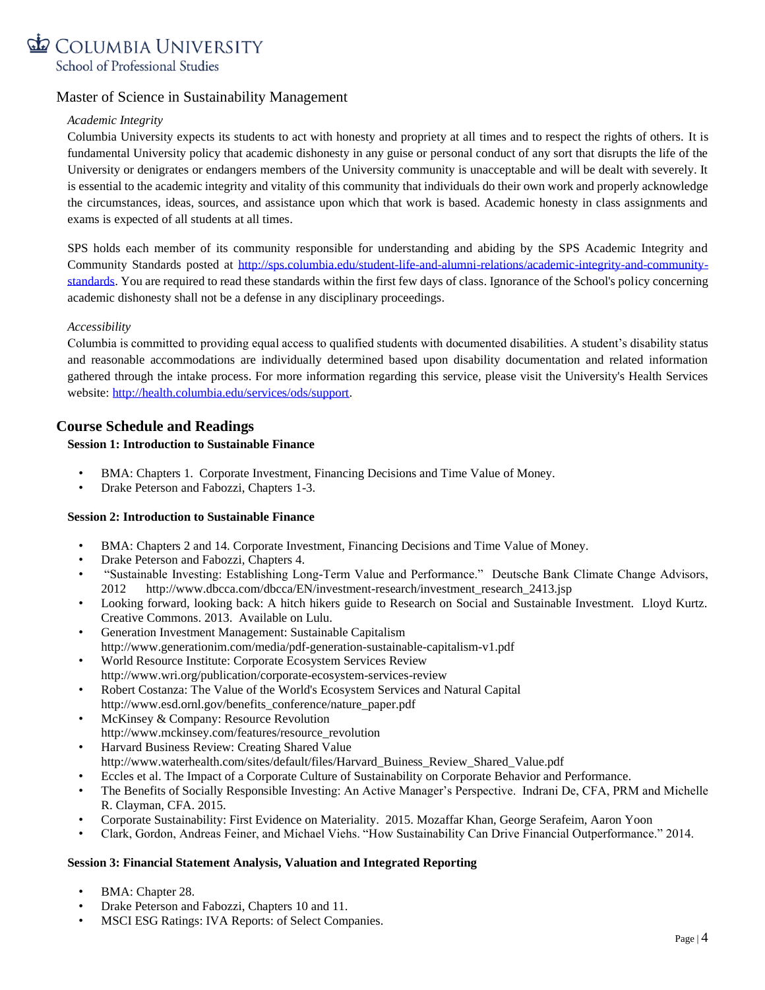

## *Academic Integrity*

Columbia University expects its students to act with honesty and propriety at all times and to respect the rights of others. It is fundamental University policy that academic dishonesty in any guise or personal conduct of any sort that disrupts the life of the University or denigrates or endangers members of the University community is unacceptable and will be dealt with severely. It is essential to the academic integrity and vitality of this community that individuals do their own work and properly acknowledge the circumstances, ideas, sources, and assistance upon which that work is based. Academic honesty in class assignments and exams is expected of all students at all times.

SPS holds each member of its community responsible for understanding and abiding by the SPS Academic Integrity and Community Standards posted at [http://sps.columbia.edu/student-life-and-alumni-relations/academic-integrity-and-community](http://sps.columbia.edu/student-life-and-alumni-relations/academic-integrity-and-community-standards)[standards.](http://sps.columbia.edu/student-life-and-alumni-relations/academic-integrity-and-community-standards) You are required to read these standards within the first few days of class. Ignorance of the School's policy concerning academic dishonesty shall not be a defense in any disciplinary proceedings.

## *Accessibility*

Columbia is committed to providing equal access to qualified students with documented disabilities. A student's disability status and reasonable accommodations are individually determined based upon disability documentation and related information gathered through the intake process. For more information regarding this service, please visit the University's Health Services website: [http://health.columbia.edu/services/ods/support.](http://health.columbia.edu/services/ods/support)

# **Course Schedule and Readings**

## **Session 1: Introduction to Sustainable Finance**

- BMA: Chapters 1. Corporate Investment, Financing Decisions and Time Value of Money.
- Drake Peterson and Fabozzi, Chapters 1-3.

### **Session 2: Introduction to Sustainable Finance**

- BMA: Chapters 2 and 14. Corporate Investment, Financing Decisions and Time Value of Money.
- Drake Peterson and Fabozzi, Chapters 4.
- "Sustainable Investing: Establishing Long-Term Value and Performance." Deutsche Bank Climate Change Advisors, 2012 http://www.dbcca.com/dbcca/EN/investment-research/investment\_research\_2413.jsp
- Looking forward, looking back: A hitch hikers guide to Research on Social and Sustainable Investment. Lloyd Kurtz. Creative Commons. 2013. Available on Lulu.
- Generation Investment Management: Sustainable Capitalism http://www.generationim.com/media/pdf-generation-sustainable-capitalism-v1.pdf
- World Resource Institute: Corporate Ecosystem Services Review http://www.wri.org/publication/corporate-ecosystem-services-review
- Robert Costanza: The Value of the World's Ecosystem Services and Natural Capital http://www.esd.ornl.gov/benefits\_conference/nature\_paper.pdf
- McKinsey & Company: Resource Revolution http://www.mckinsey.com/features/resource\_revolution
- Harvard Business Review: Creating Shared Value http://www.waterhealth.com/sites/default/files/Harvard\_Buiness\_Review\_Shared\_Value.pdf
- Eccles et al. The Impact of a Corporate Culture of Sustainability on Corporate Behavior and Performance.
- The Benefits of Socially Responsible Investing: An Active Manager's Perspective. Indrani De, CFA, PRM and Michelle R. Clayman, CFA. 2015.
- Corporate Sustainability: First Evidence on Materiality. 2015. Mozaffar Khan, George Serafeim, Aaron Yoon
- Clark, Gordon, Andreas Feiner, and Michael Viehs. "How Sustainability Can Drive Financial Outperformance." 2014.

### **Session 3: Financial Statement Analysis, Valuation and Integrated Reporting**

- BMA: Chapter 28.
- Drake Peterson and Fabozzi, Chapters 10 and 11.
- MSCI ESG Ratings: IVA Reports: of Select Companies.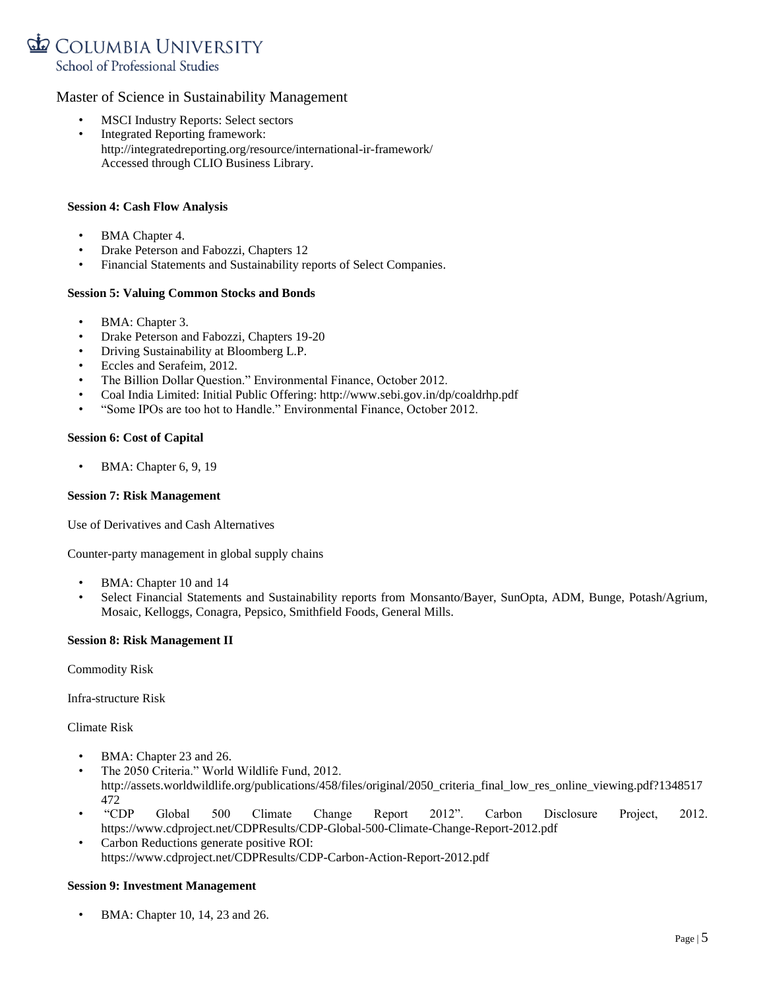

- MSCI Industry Reports: Select sectors
- Integrated Reporting framework: <http://integratedreporting.org/resource/international-ir-framework/> Accessed through CLIO Business Library.

### **Session 4: Cash Flow Analysis**

- BMA Chapter 4.
- Drake Peterson and Fabozzi, Chapters 12
- Financial Statements and Sustainability reports of Select Companies.

### **Session 5: Valuing Common Stocks and Bonds**

- BMA: Chapter 3.
- Drake Peterson and Fabozzi, Chapters 19-20
- Driving Sustainability at Bloomberg L.P.
- Eccles and Serafeim, 2012.
- The Billion Dollar Question." Environmental Finance, October 2012.
- Coal India Limited: Initial Public Offering: http://www.sebi.gov.in/dp/coaldrhp.pdf
- "Some IPOs are too hot to Handle." Environmental Finance, October 2012.

### **Session 6: Cost of Capital**

• BMA: Chapter 6, 9, 19

### **Session 7: Risk Management**

Use of Derivatives and Cash Alternatives

Counter-party management in global supply chains

- BMA: Chapter 10 and 14
- Select Financial Statements and Sustainability reports from Monsanto/Bayer, SunOpta, ADM, Bunge, Potash/Agrium, Mosaic, Kelloggs, Conagra, Pepsico, Smithfield Foods, General Mills.

### **Session 8: Risk Management II**

Commodity Risk

Infra-structure Risk

Climate Risk

- BMA: Chapter 23 and 26.
- The 2050 Criteria." World Wildlife Fund, 2012. http://assets.worldwildlife.org/publications/458/files/original/2050 criteria final low res online viewing.pdf?1348517 472
- "CDP Global 500 Climate Change Report 2012". Carbon Disclosure Project, 2012. https://www.cdproject.net/CDPResults/CDP-Global-500-Climate-Change-Report-2012.pdf
- Carbon Reductions generate positive ROI: <https://www.cdproject.net/CDPResults/CDP-Carbon-Action-Report-2012.pdf>

### **Session 9: Investment Management**

• BMA: Chapter 10, 14, 23 and 26.